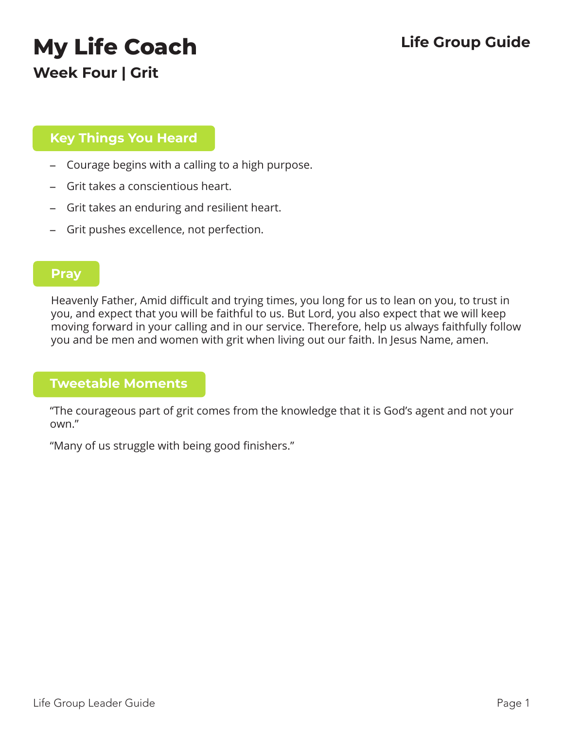# **My Life Coach Life Group Guide**

**Week Four | Grit**

### **Key Things You Heard**

- Courage begins with a calling to a high purpose.
- Grit takes a conscientious heart.
- Grit takes an enduring and resilient heart.
- Grit pushes excellence, not perfection.

#### **Pray**

Heavenly Father, Amid difficult and trying times, you long for us to lean on you, to trust in you, and expect that you will be faithful to us. But Lord, you also expect that we will keep moving forward in your calling and in our service. Therefore, help us always faithfully follow you and be men and women with grit when living out our faith. In Jesus Name, amen.

### **Tweetable Moments**

"The courageous part of grit comes from the knowledge that it is God's agent and not your own."

"Many of us struggle with being good finishers."